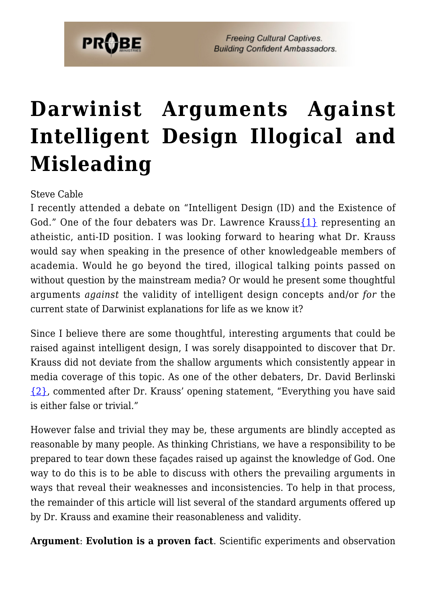

# **[Darwinist Arguments Against](https://probe.org/darwinist-arguments-against-intelligent-design-illogical-and-misleading/) [Intelligent Design Illogical and](https://probe.org/darwinist-arguments-against-intelligent-design-illogical-and-misleading/) [Misleading](https://probe.org/darwinist-arguments-against-intelligent-design-illogical-and-misleading/)**

Steve Cable

I recently attended a debate on "Intelligent Design (ID) and the Existence of God." One of the four debaters was Dr. Lawrence Krauss  $\{1\}$  representing an atheistic, anti-ID position. I was looking forward to hearing what Dr. Krauss would say when speaking in the presence of other knowledgeable members of academia. Would he go beyond the tired, illogical talking points passed on without question by the mainstream media? Or would he present some thoughtful arguments *against* the validity of intelligent design concepts and/or *for* the current state of Darwinist explanations for life as we know it?

Since I believe there are some thoughtful, interesting arguments that could be raised against intelligent design, I was sorely disappointed to discover that Dr. Krauss did not deviate from the shallow arguments which consistently appear in media coverage of this topic. As one of the other debaters, Dr. David Berlinski [{2}](#page-5-0), commented after Dr. Krauss' opening statement, "Everything you have said is either false or trivial."

However false and trivial they may be, these arguments are blindly accepted as reasonable by many people. As thinking Christians, we have a responsibility to be prepared to tear down these façades raised up against the knowledge of God. One way to do this is to be able to discuss with others the prevailing arguments in ways that reveal their weaknesses and inconsistencies. To help in that process, the remainder of this article will list several of the standard arguments offered up by Dr. Krauss and examine their reasonableness and validity.

**Argument**: **Evolution is a proven fact**. Scientific experiments and observation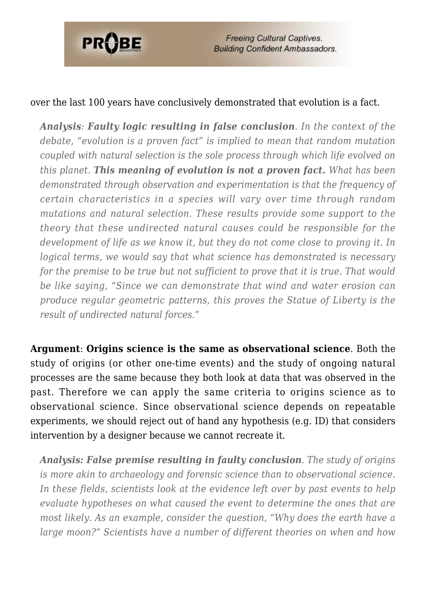

#### over the last 100 years have conclusively demonstrated that evolution is a fact.

*Analysis: Faulty logic resulting in false conclusion. In the context of the debate, "evolution is a proven fact" is implied to mean that random mutation coupled with natural selection is the sole process through which life evolved on this planet. This meaning of evolution is not a proven fact. What has been demonstrated through observation and experimentation is that the frequency of certain characteristics in a species will vary over time through random mutations and natural selection. These results provide some support to the theory that these undirected natural causes could be responsible for the development of life as we know it, but they do not come close to proving it. In logical terms, we would say that what science has demonstrated is necessary for the premise to be true but not sufficient to prove that it is true. That would be like saying, "Since we can demonstrate that wind and water erosion can produce regular geometric patterns, this proves the Statue of Liberty is the result of undirected natural forces."*

**Argument**: **Origins science is the same as observational science**. Both the study of origins (or other one-time events) and the study of ongoing natural processes are the same because they both look at data that was observed in the past. Therefore we can apply the same criteria to origins science as to observational science. Since observational science depends on repeatable experiments, we should reject out of hand any hypothesis (e.g. ID) that considers intervention by a designer because we cannot recreate it.

*Analysis: False premise resulting in faulty conclusion. The study of origins is more akin to archaeology and forensic science than to observational science. In these fields, scientists look at the evidence left over by past events to help evaluate hypotheses on what caused the event to determine the ones that are most likely. As an example, consider the question, "Why does the earth have a large moon?" Scientists have a number of different theories on when and how*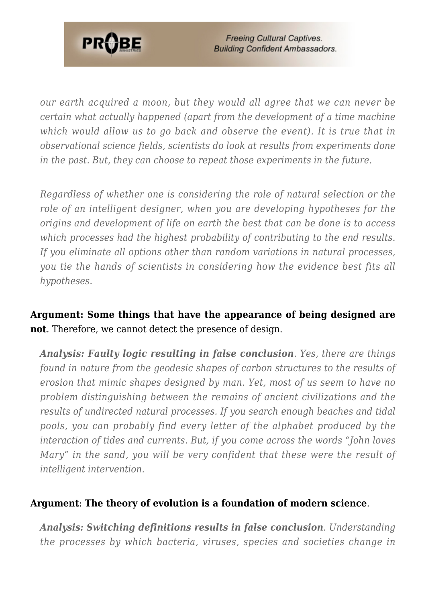

*our earth acquired a moon, but they would all agree that we can never be certain what actually happened (apart from the development of a time machine which would allow us to go back and observe the event). It is true that in observational science fields, scientists do look at results from experiments done in the past. But, they can choose to repeat those experiments in the future.*

*Regardless of whether one is considering the role of natural selection or the role of an intelligent designer, when you are developing hypotheses for the origins and development of life on earth the best that can be done is to access which processes had the highest probability of contributing to the end results. If you eliminate all options other than random variations in natural processes, you tie the hands of scientists in considering how the evidence best fits all hypotheses.*

**Argument: Some things that have the appearance of being designed are not**. Therefore, we cannot detect the presence of design.

*Analysis: Faulty logic resulting in false conclusion. Yes, there are things found in nature from the geodesic shapes of carbon structures to the results of erosion that mimic shapes designed by man. Yet, most of us seem to have no problem distinguishing between the remains of ancient civilizations and the results of undirected natural processes. If you search enough beaches and tidal pools, you can probably find every letter of the alphabet produced by the interaction of tides and currents. But, if you come across the words "John loves Mary" in the sand, you will be very confident that these were the result of intelligent intervention.*

#### **Argument**: **The theory of evolution is a foundation of modern science**.

*Analysis: Switching definitions results in false conclusion. Understanding the processes by which bacteria, viruses, species and societies change in*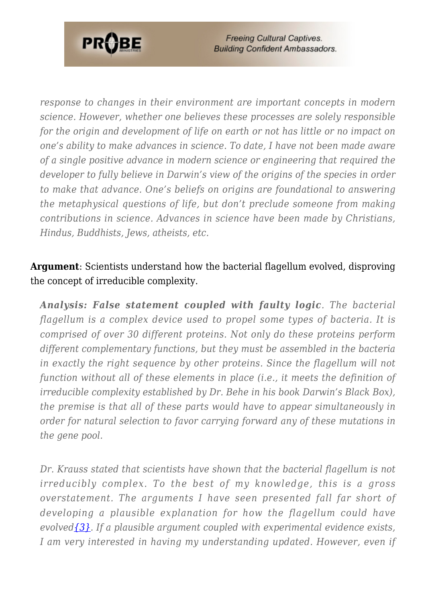

*response to changes in their environment are important concepts in modern science. However, whether one believes these processes are solely responsible for the origin and development of life on earth or not has little or no impact on one's ability to make advances in science. To date, I have not been made aware of a single positive advance in modern science or engineering that required the developer to fully believe in Darwin's view of the origins of the species in order to make that advance. One's beliefs on origins are foundational to answering the metaphysical questions of life, but don't preclude someone from making contributions in science. Advances in science have been made by Christians, Hindus, Buddhists, Jews, atheists, etc.*

## **Argument**: Scientists understand how the bacterial flagellum evolved, disproving the concept of irreducible complexity.

*Analysis: False statement coupled with faulty logic. The bacterial flagellum is a complex device used to propel some types of bacteria. It is comprised of over 30 different proteins. Not only do these proteins perform different complementary functions, but they must be assembled in the bacteria in exactly the right sequence by other proteins. Since the flagellum will not function without all of these elements in place (i.e., it meets the definition of irreducible complexity established by Dr. Behe in his book Darwin's Black Box), the premise is that all of these parts would have to appear simultaneously in order for natural selection to favor carrying forward any of these mutations in the gene pool.*

*Dr. Krauss stated that scientists have shown that the bacterial flagellum is not irreducibly complex. To the best of my knowledge, this is a gross overstatement. The arguments I have seen presented fall far short of developing a plausible explanation for how the flagellum could have evolve[d{3}.](#page-5-1) If a plausible argument coupled with experimental evidence exists, I am very interested in having my understanding updated. However, even if*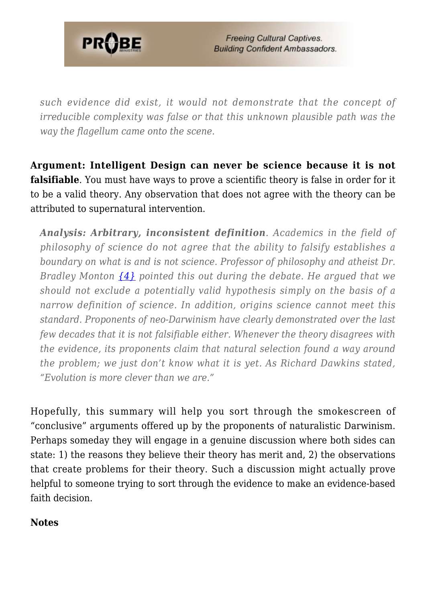

*such evidence did exist, it would not demonstrate that the concept of irreducible complexity was false or that this unknown plausible path was the way the flagellum came onto the scene.*

**Argument: Intelligent Design can never be science because it is not falsifiable**. You must have ways to prove a scientific theory is false in order for it to be a valid theory. Any observation that does not agree with the theory can be attributed to supernatural intervention.

*Analysis: Arbitrary, inconsistent definition. Academics in the field of philosophy of science do not agree that the ability to falsify establishes a boundary on what is and is not science. Professor of philosophy and atheist Dr. Bradley Monton [{4}](#page-6-0) pointed this out during the debate. He argued that we should not exclude a potentially valid hypothesis simply on the basis of a narrow definition of science. In addition, origins science cannot meet this standard. Proponents of neo-Darwinism have clearly demonstrated over the last few decades that it is not falsifiable either. Whenever the theory disagrees with the evidence, its proponents claim that natural selection found a way around the problem; we just don't know what it is yet. As Richard Dawkins stated, "Evolution is more clever than we are."*

Hopefully, this summary will help you sort through the smokescreen of "conclusive" arguments offered up by the proponents of naturalistic Darwinism. Perhaps someday they will engage in a genuine discussion where both sides can state: 1) the reasons they believe their theory has merit and, 2) the observations that create problems for their theory. Such a discussion might actually prove helpful to someone trying to sort through the evidence to make an evidence-based faith decision.

### <span id="page-4-0"></span>**Notes**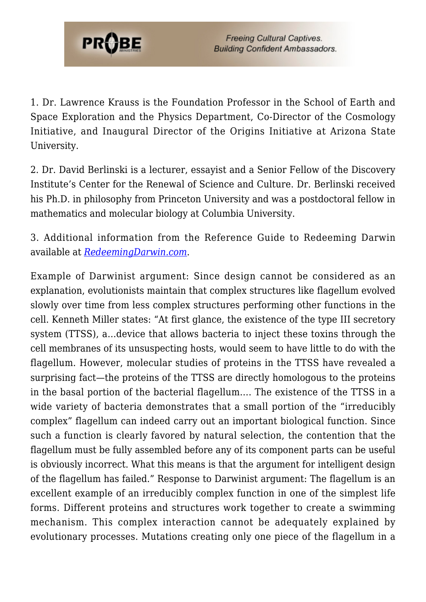

1. Dr. Lawrence Krauss is the Foundation Professor in the School of Earth and Space Exploration and the Physics Department, Co-Director of the Cosmology Initiative, and Inaugural Director of the Origins Initiative at Arizona State University.

<span id="page-5-0"></span>2. Dr. David Berlinski is a lecturer, essayist and a Senior Fellow of the Discovery Institute's Center for the Renewal of Science and Culture. Dr. Berlinski received his Ph.D. in philosophy from Princeton University and was a postdoctoral fellow in mathematics and molecular biology at Columbia University.

<span id="page-5-1"></span>3. Additional information from the Reference Guide to Redeeming Darwin available at *[RedeemingDarwin.com](http://redeemingdarwin.com)*.

Example of Darwinist argument: Since design cannot be considered as an explanation, evolutionists maintain that complex structures like flagellum evolved slowly over time from less complex structures performing other functions in the cell. Kenneth Miller states: "At first glance, the existence of the type III secretory system (TTSS), a…device that allows bacteria to inject these toxins through the cell membranes of its unsuspecting hosts, would seem to have little to do with the flagellum. However, molecular studies of proteins in the TTSS have revealed a surprising fact—the proteins of the TTSS are directly homologous to the proteins in the basal portion of the bacterial flagellum…. The existence of the TTSS in a wide variety of bacteria demonstrates that a small portion of the "irreducibly complex" flagellum can indeed carry out an important biological function. Since such a function is clearly favored by natural selection, the contention that the flagellum must be fully assembled before any of its component parts can be useful is obviously incorrect. What this means is that the argument for intelligent design of the flagellum has failed." Response to Darwinist argument: The flagellum is an excellent example of an irreducibly complex function in one of the simplest life forms. Different proteins and structures work together to create a swimming mechanism. This complex interaction cannot be adequately explained by evolutionary processes. Mutations creating only one piece of the flagellum in a